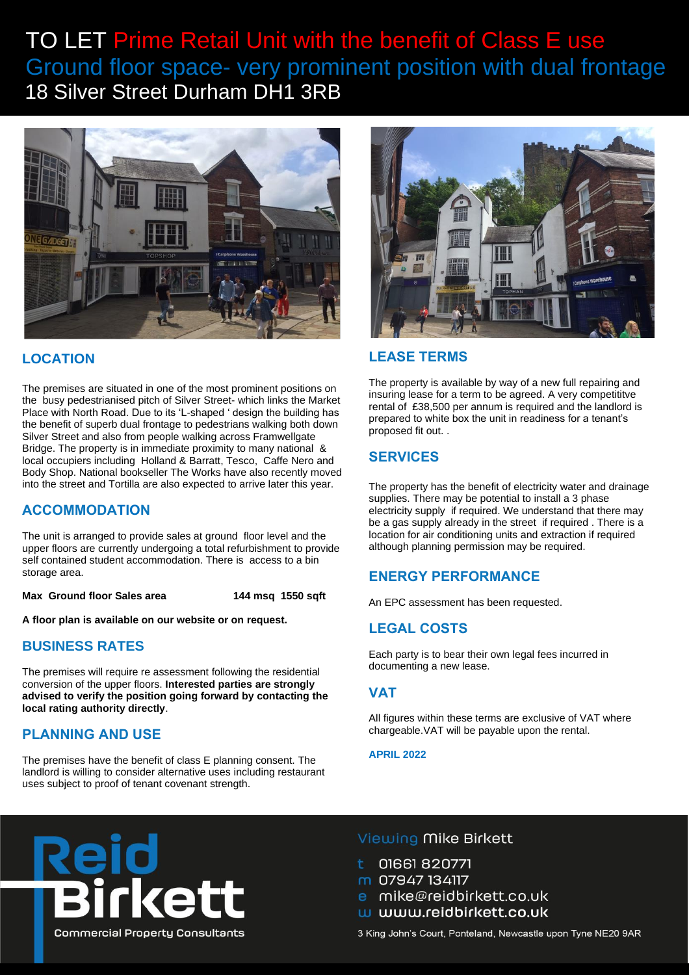# TO LET Prime Retail Unit with the benefit of Class E use Ground floor space- very prominent position with dual frontage <sup>18</sup> Silver Street Durham DH1 3RB



## **LOCATION**

The premises are situated in one of the most prominent positions on the busy pedestrianised pitch of Silver Street- which links the Market Place with North Road. Due to its 'L-shaped ' design the building has the benefit of superb dual frontage to pedestrians walking both down Silver Street and also from people walking across Framwellgate Bridge. The property is in immediate proximity to many national & local occupiers including Holland & Barratt, Tesco, Caffe Nero and Body Shop. National bookseller The Works have also recently moved into the street and Tortilla are also expected to arrive later this year.

## **ACCOMMODATION**

The unit is arranged to provide sales at ground floor level and the upper floors are currently undergoing a total refurbishment to provide self contained student accommodation. There is access to a bin storage area.

**Max Ground floor Sales area 144 msq 1550 sqft**

**A floor plan is available on our website or on request.** 

## **BUSINESS RATES**

The premises will require re assessment following the residential conversion of the upper floors. **Interested parties are strongly advised to verify the position going forward by contacting the local rating authority directly**.

# **PLANNING AND USE**

The premises have the benefit of class E planning consent. The landlord is willing to consider alternative uses including restaurant uses subject to proof of tenant covenant strength.



# **LEASE TERMS**

The property is available by way of a new full repairing and insuring lease for a term to be agreed. A very competititve rental of £38,500 per annum is required and the landlord is prepared to white box the unit in readiness for a tenant's proposed fit out. .

# **SERVICES**

The property has the benefit of electricity water and drainage supplies. There may be potential to install a 3 phase electricity supply if required. We understand that there may be a gas supply already in the street if required . There is a location for air conditioning units and extraction if required although planning permission may be required.

# **ENERGY PERFORMANCE**

An EPC assessment has been requested.

## **LEGAL COSTS**

Each party is to bear their own legal fees incurred in documenting a new lease.

#### **VAT**

All figures within these terms are exclusive of VAT where chargeable.VAT will be payable upon the rental.

**APRIL 2022**



## Viewing Mike Birkett

01661 820771

m 07947 134117

mike@reidbirkett.co.uk

w www.reidbirkett.co.uk

3 King John's Court, Ponteland, Newcastle upon Tyne NE20 9AR